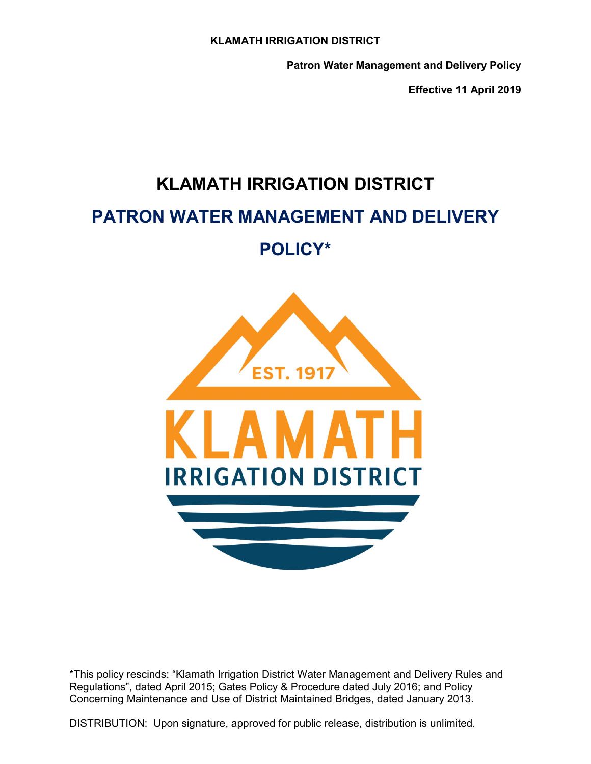**Patron Water Management and Delivery Policy**

**Effective 11 April 2019**

# **KLAMATH IRRIGATION DISTRICT PATRON WATER MANAGEMENT AND DELIVERY POLICY\***



\*This policy rescinds: "Klamath Irrigation District Water Management and Delivery Rules and Regulations", dated April 2015; Gates Policy & Procedure dated July 2016; and Policy Concerning Maintenance and Use of District Maintained Bridges, dated January 2013.

DISTRIBUTION: Upon signature, approved for public release, distribution is unlimited.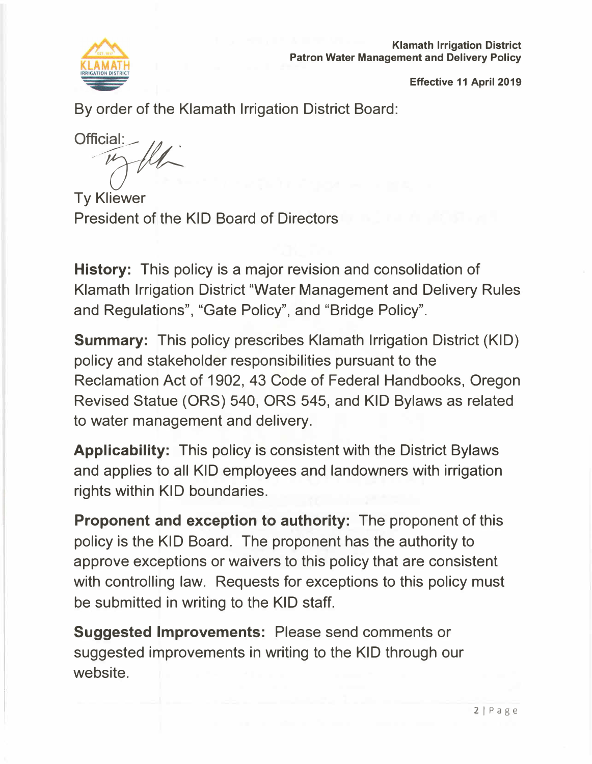

By order of the Klamath Irrigation District Board:

Official:

Ty Kliewer President of the KID Board of Directors

**History:** This policy is a major revision and consolidation of Klamath Irrigation District "Water Management and Delivery Rules and Regulations", "Gate Policy", and "Bridge Policy".

**Summary:** This policy prescribes Klamath Irrigation District (KID) policy and stakeholder responsibilities pursuant to the Reclamation Act of 1902, 43 Code of Federal Handbooks, Oregon Revised Statue (ORS) 540, ORS 545, and KID Bylaws as related to water management and delivery.

**Applicability:** This policy is consistent with the District Bylaws and applies to all KID employees and landowners with irrigation rights within KID boundaries.

**Proponent and exception to authority:** The proponent of this policy is the KID Board. The proponent has the authority to approve exceptions or waivers to this policy that are consistent with controlling law. Requests for exceptions to this policy must be submitted in writing to the KID staff.

**Suggested Improvements:** Please send comments or suggested improvements in writing to the KID through our website.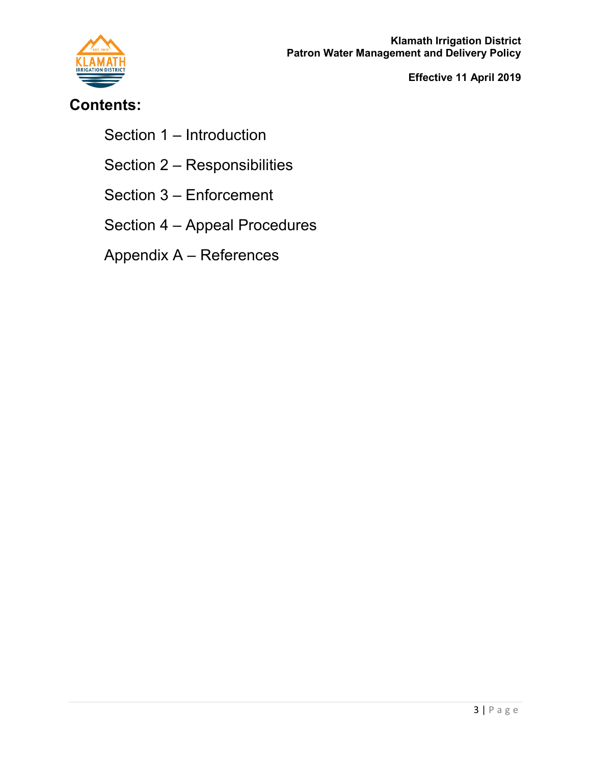

### **Contents:**

- Section 1 Introduction
- Section 2 Responsibilities
- Section 3 Enforcement
- Section 4 Appeal Procedures
- Appendix A References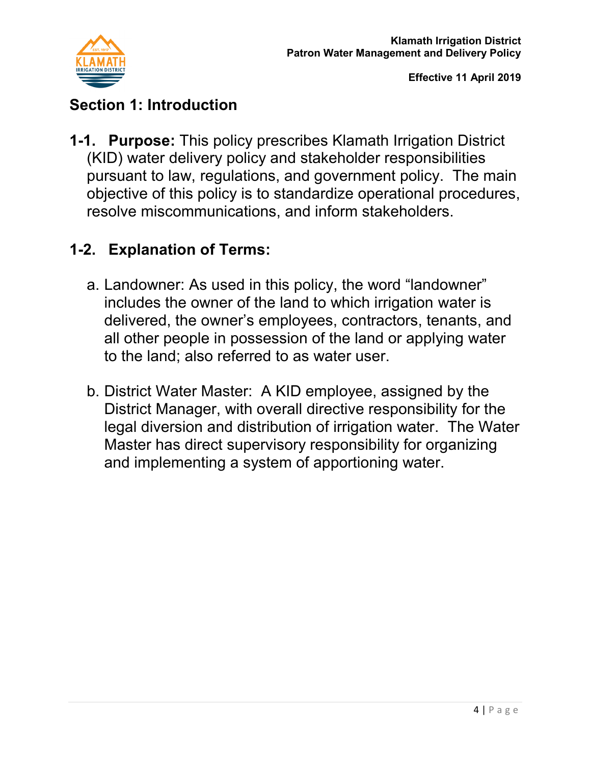

### **Section 1: Introduction**

**1-1. Purpose:** This policy prescribes Klamath Irrigation District (KID) water delivery policy and stakeholder responsibilities pursuant to law, regulations, and government policy. The main objective of this policy is to standardize operational procedures, resolve miscommunications, and inform stakeholders.

### **1-2. Explanation of Terms:**

- a. Landowner: As used in this policy, the word "landowner" includes the owner of the land to which irrigation water is delivered, the owner's employees, contractors, tenants, and all other people in possession of the land or applying water to the land; also referred to as water user.
- b. District Water Master: A KID employee, assigned by the District Manager, with overall directive responsibility for the legal diversion and distribution of irrigation water. The Water Master has direct supervisory responsibility for organizing and implementing a system of apportioning water.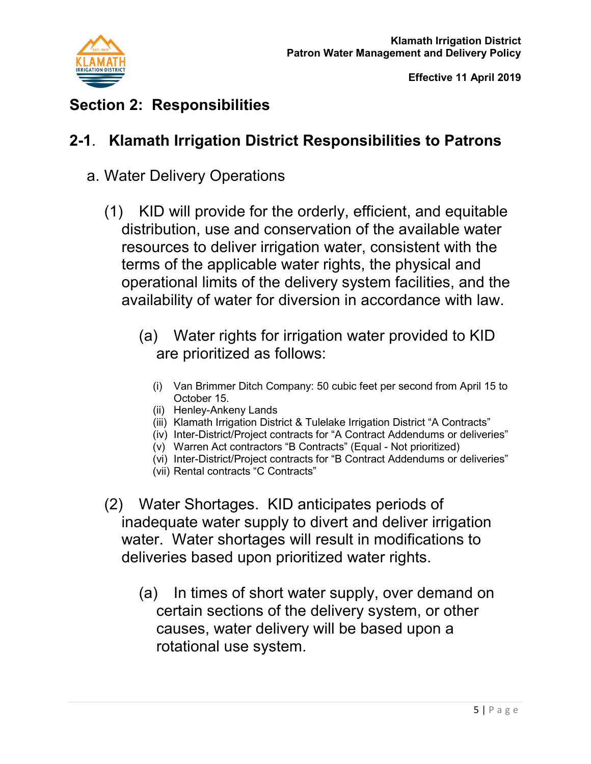

### **Section 2: Responsibilities**

### **2-1**. **Klamath Irrigation District Responsibilities to Patrons**

- a. Water Delivery Operations
	- (1) KID will provide for the orderly, efficient, and equitable distribution, use and conservation of the available water resources to deliver irrigation water, consistent with the terms of the applicable water rights, the physical and operational limits of the delivery system facilities, and the availability of water for diversion in accordance with law.
		- (a) Water rights for irrigation water provided to KID are prioritized as follows:
			- (i) Van Brimmer Ditch Company: 50 cubic feet per second from April 15 to October 15.
			- (ii) Henley-Ankeny Lands
			- (iii) Klamath Irrigation District & Tulelake Irrigation District "A Contracts"
			- (iv) Inter-District/Project contracts for "A Contract Addendums or deliveries"
			- (v) Warren Act contractors "B Contracts" (Equal Not prioritized)
			- (vi) Inter-District/Project contracts for "B Contract Addendums or deliveries"
			- (vii) Rental contracts "C Contracts"
	- (2) Water Shortages. KID anticipates periods of inadequate water supply to divert and deliver irrigation water. Water shortages will result in modifications to deliveries based upon prioritized water rights.
		- (a) In times of short water supply, over demand on certain sections of the delivery system, or other causes, water delivery will be based upon a rotational use system.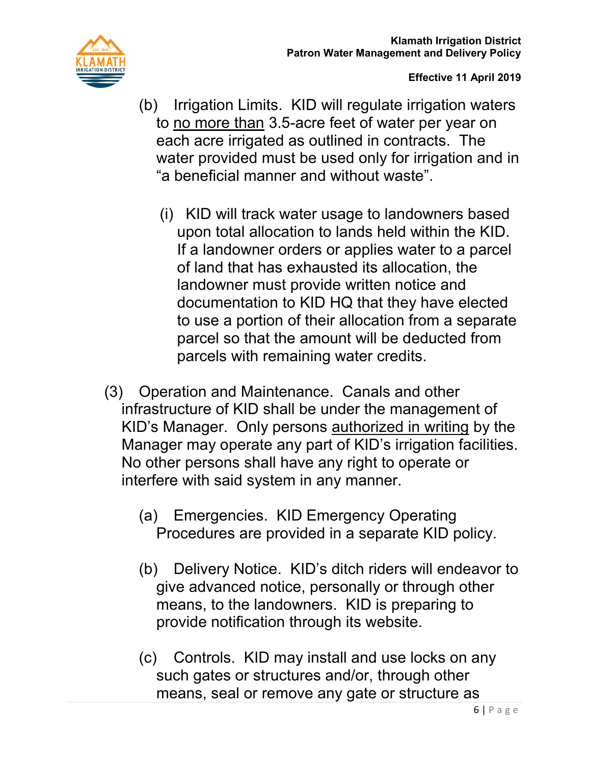

- (b) Irrigation Limits. KID will regulate irrigation waters to no more than 3.5-acre feet of water per year on each acre irrigated as outlined in contracts. The water provided must be used only for irrigation and in "a beneficial manner and without waste".
	- (i) KID will track water usage to landowners based upon total allocation to lands held within the KID. If a landowner orders or applies water to a parcel of land that has exhausted its allocation, the landowner must provide written notice and documentation to KID HQ that they have elected to use a portion of their allocation from a separate parcel so that the amount will be deducted from parcels with remaining water credits.
- (3) Operation and Maintenance. Canals and other infrastructure of KID shall be under the management of KID's Manager. Only persons authorized in writing by the Manager may operate any part of KID's irrigation facilities. No other persons shall have any right to operate or interfere with said system in any manner.
	- (a) Emergencies. KID Emergency Operating Procedures are provided in a separate KID policy.
	- (b) Delivery Notice. KID's ditch riders will endeavor to give advanced notice, personally or through other means, to the landowners. KID is preparing to provide notification through its website.
	- (c) Controls. KID may install and use locks on any such gates or structures and/or, through other means, seal or remove any gate or structure as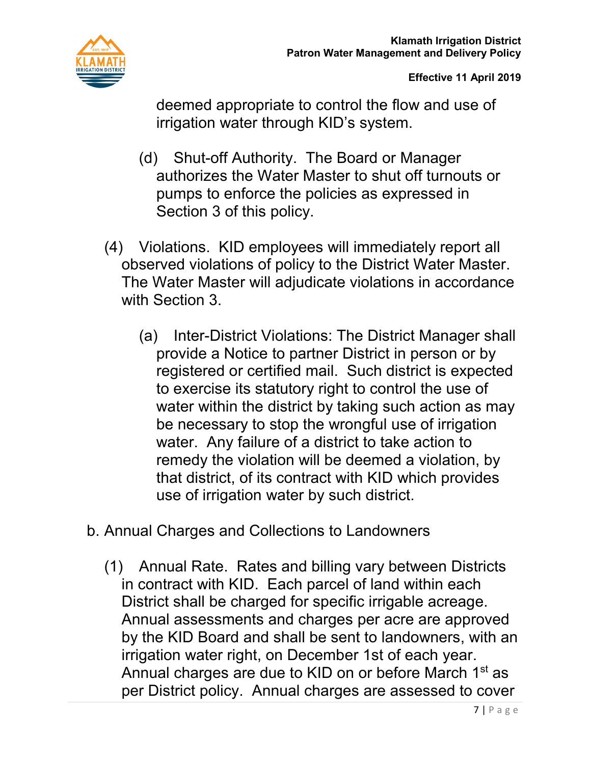deemed appropriate to control the flow and use of irrigation water through KID's system.

- (d) Shut-off Authority. The Board or Manager authorizes the Water Master to shut off turnouts or pumps to enforce the policies as expressed in Section 3 of this policy.
- (4) Violations. KID employees will immediately report all observed violations of policy to the District Water Master. The Water Master will adjudicate violations in accordance with Section 3.
	- (a) Inter-District Violations: The District Manager shall provide a Notice to partner District in person or by registered or certified mail. Such district is expected to exercise its statutory right to control the use of water within the district by taking such action as may be necessary to stop the wrongful use of irrigation water. Any failure of a district to take action to remedy the violation will be deemed a violation, by that district, of its contract with KID which provides use of irrigation water by such district.
- b. Annual Charges and Collections to Landowners
	- (1) Annual Rate. Rates and billing vary between Districts in contract with KID. Each parcel of land within each District shall be charged for specific irrigable acreage. Annual assessments and charges per acre are approved by the KID Board and shall be sent to landowners, with an irrigation water right, on December 1st of each year. Annual charges are due to KID on or before March 1<sup>st</sup> as per District policy. Annual charges are assessed to cover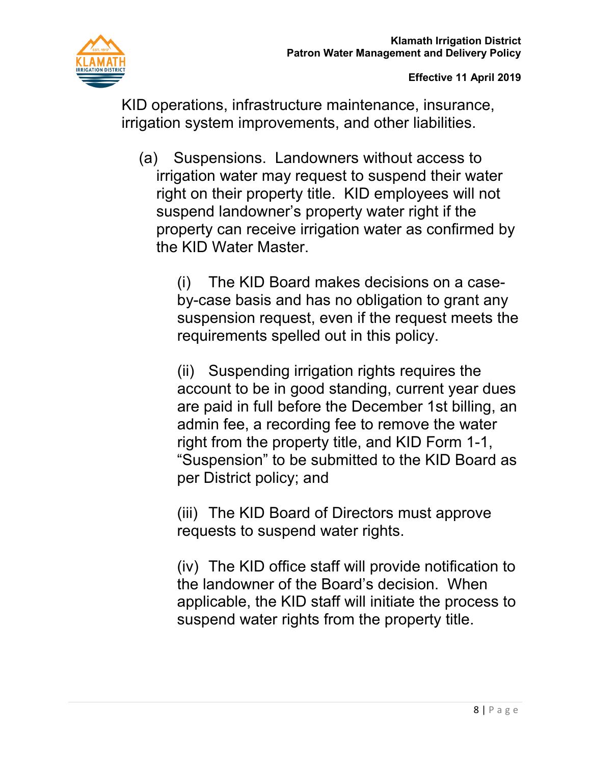

KID operations, infrastructure maintenance, insurance, irrigation system improvements, and other liabilities.

(a) Suspensions. Landowners without access to irrigation water may request to suspend their water right on their property title. KID employees will not suspend landowner's property water right if the property can receive irrigation water as confirmed by the KID Water Master.

> (i) The KID Board makes decisions on a caseby-case basis and has no obligation to grant any suspension request, even if the request meets the requirements spelled out in this policy.

> (ii) Suspending irrigation rights requires the account to be in good standing, current year dues are paid in full before the December 1st billing, an admin fee, a recording fee to remove the water right from the property title, and KID Form 1-1, "Suspension" to be submitted to the KID Board as per District policy; and

(iii) The KID Board of Directors must approve requests to suspend water rights.

(iv) The KID office staff will provide notification to the landowner of the Board's decision. When applicable, the KID staff will initiate the process to suspend water rights from the property title.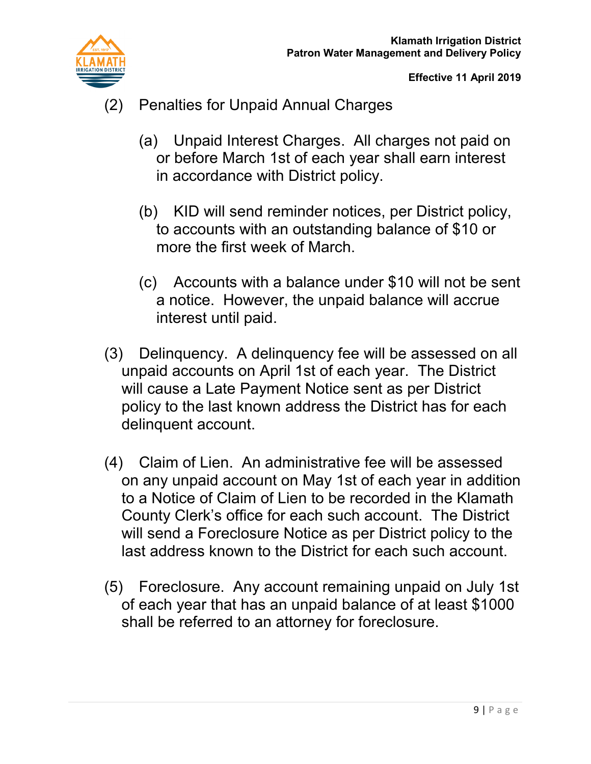

- **Effective 11 April 2019**
- (2) Penalties for Unpaid Annual Charges
	- (a) Unpaid Interest Charges. All charges not paid on or before March 1st of each year shall earn interest in accordance with District policy.
	- (b) KID will send reminder notices, per District policy, to accounts with an outstanding balance of \$10 or more the first week of March.
	- (c) Accounts with a balance under \$10 will not be sent a notice. However, the unpaid balance will accrue interest until paid.
- (3) Delinquency. A delinquency fee will be assessed on all unpaid accounts on April 1st of each year. The District will cause a Late Payment Notice sent as per District policy to the last known address the District has for each delinquent account.
- (4) Claim of Lien. An administrative fee will be assessed on any unpaid account on May 1st of each year in addition to a Notice of Claim of Lien to be recorded in the Klamath County Clerk's office for each such account. The District will send a Foreclosure Notice as per District policy to the last address known to the District for each such account.
- (5) Foreclosure. Any account remaining unpaid on July 1st of each year that has an unpaid balance of at least \$1000 shall be referred to an attorney for foreclosure.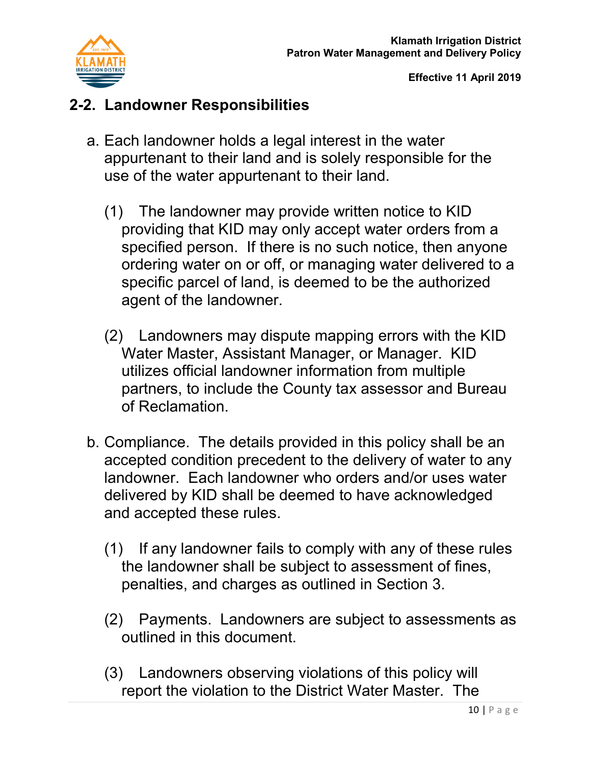

### **2-2. Landowner Responsibilities**

- a. Each landowner holds a legal interest in the water appurtenant to their land and is solely responsible for the use of the water appurtenant to their land.
	- (1) The landowner may provide written notice to KID providing that KID may only accept water orders from a specified person. If there is no such notice, then anyone ordering water on or off, or managing water delivered to a specific parcel of land, is deemed to be the authorized agent of the landowner.
	- (2) Landowners may dispute mapping errors with the KID Water Master, Assistant Manager, or Manager. KID utilizes official landowner information from multiple partners, to include the County tax assessor and Bureau of Reclamation.
- b. Compliance. The details provided in this policy shall be an accepted condition precedent to the delivery of water to any landowner. Each landowner who orders and/or uses water delivered by KID shall be deemed to have acknowledged and accepted these rules.
	- (1) If any landowner fails to comply with any of these rules the landowner shall be subject to assessment of fines, penalties, and charges as outlined in Section 3.
	- (2) Payments. Landowners are subject to assessments as outlined in this document.
	- (3) Landowners observing violations of this policy will report the violation to the District Water Master. The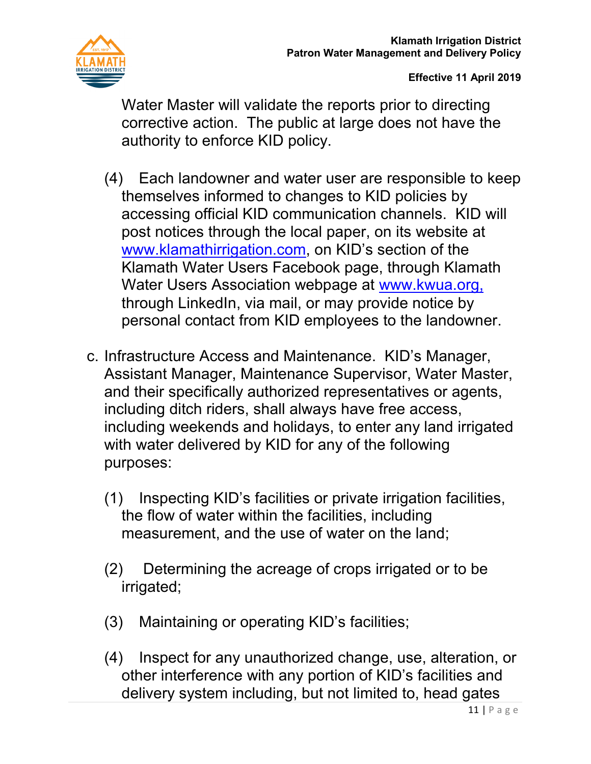

Water Master will validate the reports prior to directing corrective action. The public at large does not have the authority to enforce KID policy.

- (4) Each landowner and water user are responsible to keep themselves informed to changes to KID policies by accessing official KID communication channels. KID will post notices through the local paper, on its website at [www.klamathirrigation.com,](http://www.klamathirrigation.com/) on KID's section of the Klamath Water Users Facebook page, through Klamath Water Users Association webpage at [www.kwua.org,](http://www.kwua.org/) through LinkedIn, via mail, or may provide notice by personal contact from KID employees to the landowner.
- c. Infrastructure Access and Maintenance. KID's Manager, Assistant Manager, Maintenance Supervisor, Water Master, and their specifically authorized representatives or agents, including ditch riders, shall always have free access, including weekends and holidays, to enter any land irrigated with water delivered by KID for any of the following purposes:
	- (1) Inspecting KID's facilities or private irrigation facilities, the flow of water within the facilities, including measurement, and the use of water on the land;
	- (2) Determining the acreage of crops irrigated or to be irrigated;
	- (3) Maintaining or operating KID's facilities;
	- (4) Inspect for any unauthorized change, use, alteration, or other interference with any portion of KID's facilities and delivery system including, but not limited to, head gates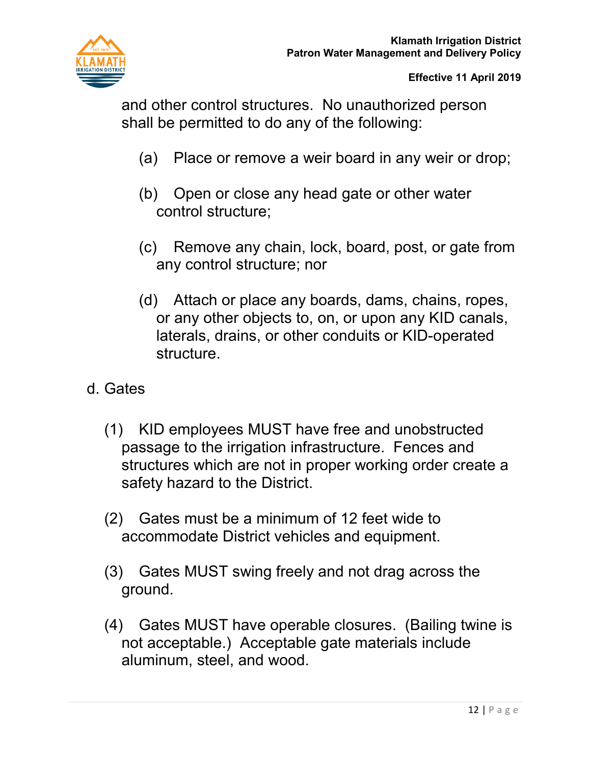

and other control structures. No unauthorized person shall be permitted to do any of the following:

- (a) Place or remove a weir board in any weir or drop;
- (b) Open or close any head gate or other water control structure;
- (c) Remove any chain, lock, board, post, or gate from any control structure; nor
- (d) Attach or place any boards, dams, chains, ropes, or any other objects to, on, or upon any KID canals, laterals, drains, or other conduits or KID-operated structure.
- d. Gates
	- (1) KID employees MUST have free and unobstructed passage to the irrigation infrastructure. Fences and structures which are not in proper working order create a safety hazard to the District.
	- (2) Gates must be a minimum of 12 feet wide to accommodate District vehicles and equipment.
	- (3) Gates MUST swing freely and not drag across the ground.
	- (4) Gates MUST have operable closures. (Bailing twine is not acceptable.) Acceptable gate materials include aluminum, steel, and wood.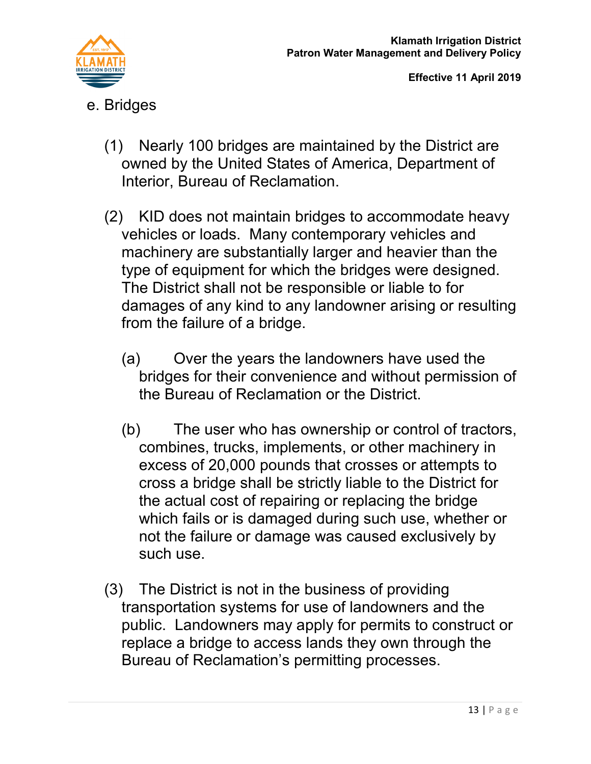

- e. Bridges
	- (1) Nearly 100 bridges are maintained by the District are owned by the United States of America, Department of Interior, Bureau of Reclamation.
	- (2) KID does not maintain bridges to accommodate heavy vehicles or loads. Many contemporary vehicles and machinery are substantially larger and heavier than the type of equipment for which the bridges were designed. The District shall not be responsible or liable to for damages of any kind to any landowner arising or resulting from the failure of a bridge.
		- (a) Over the years the landowners have used the bridges for their convenience and without permission of the Bureau of Reclamation or the District.
		- (b) The user who has ownership or control of tractors, combines, trucks, implements, or other machinery in excess of 20,000 pounds that crosses or attempts to cross a bridge shall be strictly liable to the District for the actual cost of repairing or replacing the bridge which fails or is damaged during such use, whether or not the failure or damage was caused exclusively by such use.
	- (3) The District is not in the business of providing transportation systems for use of landowners and the public. Landowners may apply for permits to construct or replace a bridge to access lands they own through the Bureau of Reclamation's permitting processes.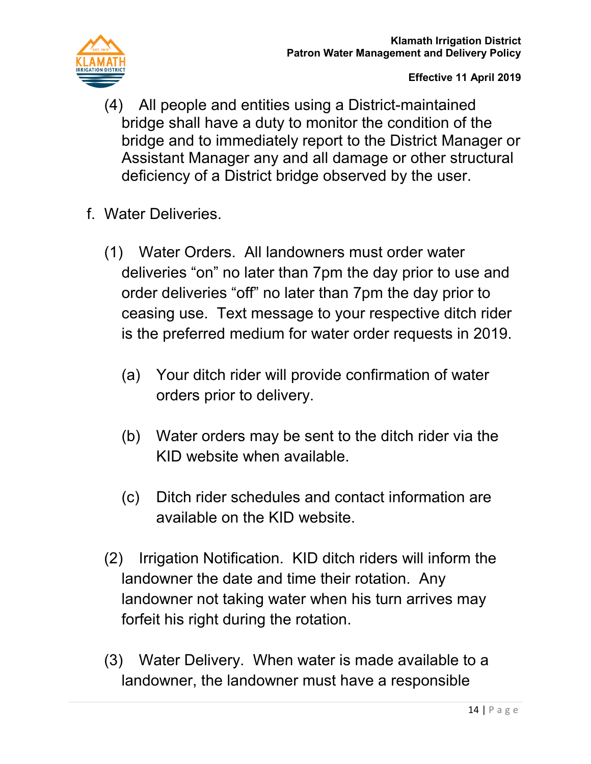

- (4) All people and entities using a District-maintained bridge shall have a duty to monitor the condition of the bridge and to immediately report to the District Manager or Assistant Manager any and all damage or other structural deficiency of a District bridge observed by the user.
- f. Water Deliveries.
	- (1) Water Orders. All landowners must order water deliveries "on" no later than 7pm the day prior to use and order deliveries "off" no later than 7pm the day prior to ceasing use. Text message to your respective ditch rider is the preferred medium for water order requests in 2019.
		- (a) Your ditch rider will provide confirmation of water orders prior to delivery.
		- (b) Water orders may be sent to the ditch rider via the KID website when available.
		- (c) Ditch rider schedules and contact information are available on the KID website.
	- (2) Irrigation Notification. KID ditch riders will inform the landowner the date and time their rotation. Any landowner not taking water when his turn arrives may forfeit his right during the rotation.
	- (3) Water Delivery. When water is made available to a landowner, the landowner must have a responsible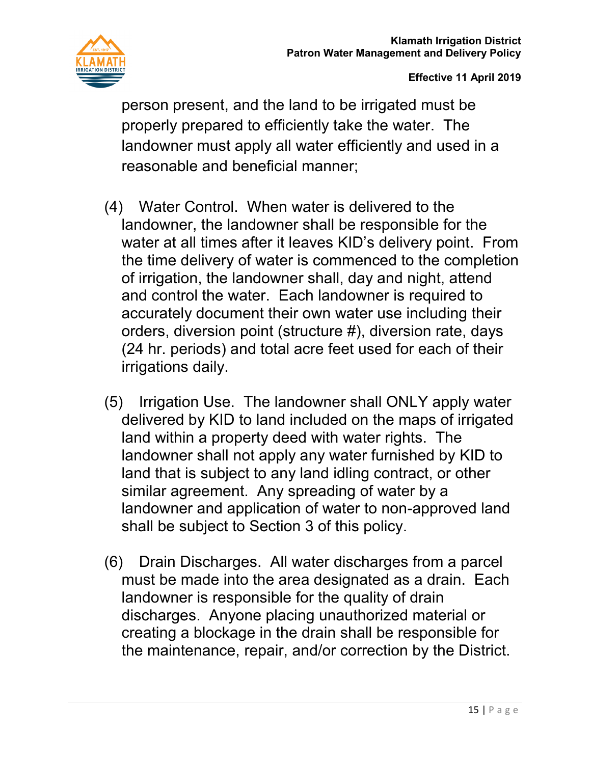

person present, and the land to be irrigated must be properly prepared to efficiently take the water. The landowner must apply all water efficiently and used in a reasonable and beneficial manner;

- (4) Water Control. When water is delivered to the landowner, the landowner shall be responsible for the water at all times after it leaves KID's delivery point. From the time delivery of water is commenced to the completion of irrigation, the landowner shall, day and night, attend and control the water. Each landowner is required to accurately document their own water use including their orders, diversion point (structure #), diversion rate, days (24 hr. periods) and total acre feet used for each of their irrigations daily.
- (5) Irrigation Use. The landowner shall ONLY apply water delivered by KID to land included on the maps of irrigated land within a property deed with water rights. The landowner shall not apply any water furnished by KID to land that is subject to any land idling contract, or other similar agreement. Any spreading of water by a landowner and application of water to non-approved land shall be subject to Section 3 of this policy.
- (6) Drain Discharges. All water discharges from a parcel must be made into the area designated as a drain. Each landowner is responsible for the quality of drain discharges. Anyone placing unauthorized material or creating a blockage in the drain shall be responsible for the maintenance, repair, and/or correction by the District.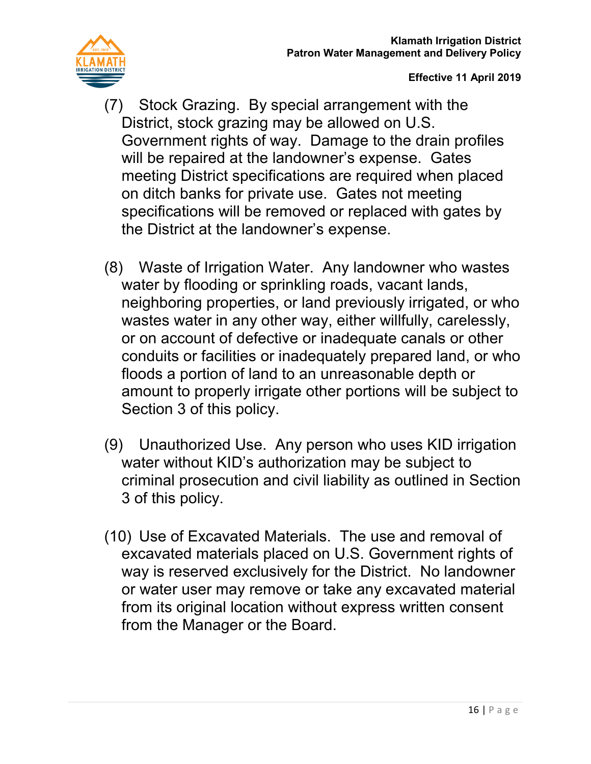

- (7) Stock Grazing. By special arrangement with the District, stock grazing may be allowed on U.S. Government rights of way. Damage to the drain profiles will be repaired at the landowner's expense. Gates meeting District specifications are required when placed on ditch banks for private use. Gates not meeting specifications will be removed or replaced with gates by the District at the landowner's expense.
- (8) Waste of Irrigation Water. Any landowner who wastes water by flooding or sprinkling roads, vacant lands, neighboring properties, or land previously irrigated, or who wastes water in any other way, either willfully, carelessly, or on account of defective or inadequate canals or other conduits or facilities or inadequately prepared land, or who floods a portion of land to an unreasonable depth or amount to properly irrigate other portions will be subject to Section 3 of this policy.
- (9) Unauthorized Use. Any person who uses KID irrigation water without KID's authorization may be subject to criminal prosecution and civil liability as outlined in Section 3 of this policy.
- (10) Use of Excavated Materials. The use and removal of excavated materials placed on U.S. Government rights of way is reserved exclusively for the District. No landowner or water user may remove or take any excavated material from its original location without express written consent from the Manager or the Board.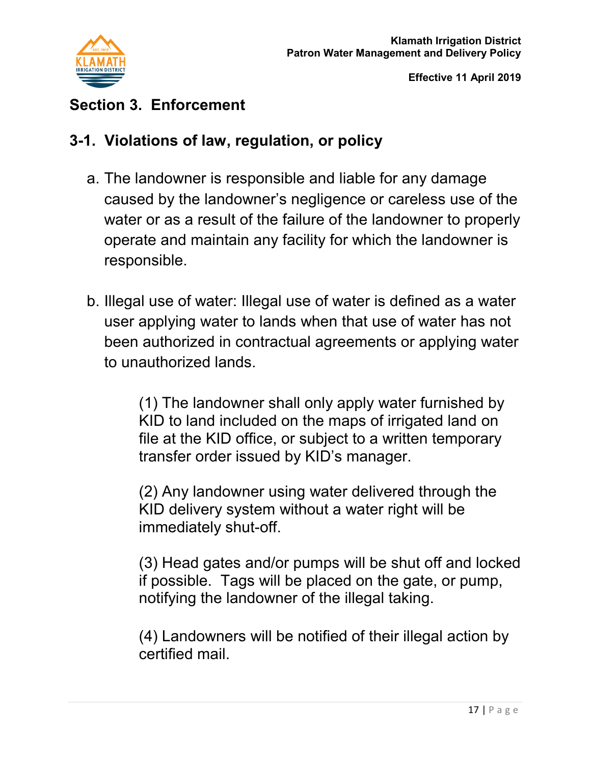

### **Section 3. Enforcement**

### **3-1. Violations of law, regulation, or policy**

- a. The landowner is responsible and liable for any damage caused by the landowner's negligence or careless use of the water or as a result of the failure of the landowner to properly operate and maintain any facility for which the landowner is responsible.
- b. Illegal use of water: Illegal use of water is defined as a water user applying water to lands when that use of water has not been authorized in contractual agreements or applying water to unauthorized lands.

(1) The landowner shall only apply water furnished by KID to land included on the maps of irrigated land on file at the KID office, or subject to a written temporary transfer order issued by KID's manager.

(2) Any landowner using water delivered through the KID delivery system without a water right will be immediately shut-off.

(3) Head gates and/or pumps will be shut off and locked if possible. Tags will be placed on the gate, or pump, notifying the landowner of the illegal taking.

(4) Landowners will be notified of their illegal action by certified mail.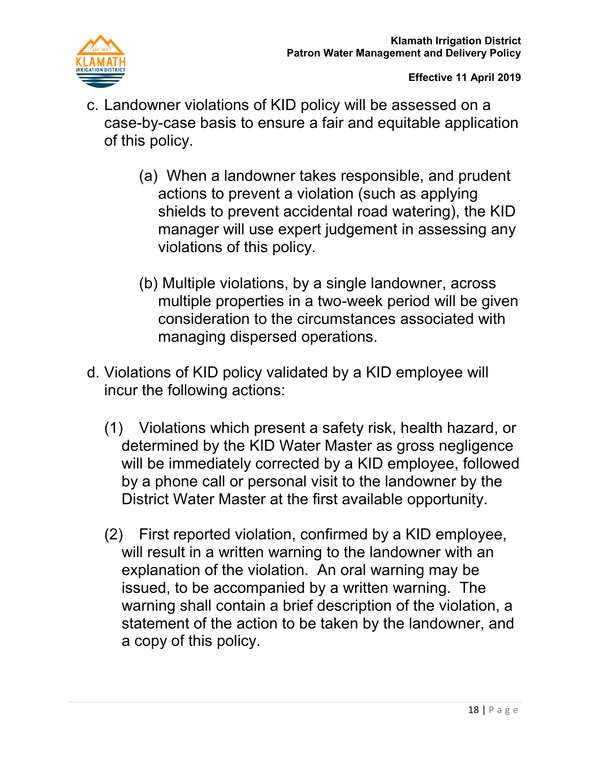

- c. Landowner violations of KID policy will be assessed on a case-by-case basis to ensure a fair and equitable application of this policy.
	- (a) When a landowner takes responsible, and prudent actions to prevent a violation (such as applying shields to prevent accidental road watering), the KID manager will use expert judgement in assessing any violations of this policy.
	- (b) Multiple violations, by a single landowner, across multiple properties in a two-week period will be given consideration to the circumstances associated with managing dispersed operations.
- d. Violations of KID policy validated by a KID employee will incur the following actions:
	- (1) Violations which present a safety risk, health hazard, or determined by the KID Water Master as gross negligence will be immediately corrected by a KID employee, followed by a phone call or personal visit to the landowner by the District Water Master at the first available opportunity.
	- (2) First reported violation, confirmed by a KID employee, will result in a written warning to the landowner with an explanation of the violation. An oral warning may be issued, to be accompanied by a written warning. The warning shall contain a brief description of the violation, a statement of the action to be taken by the landowner, and a copy of this policy.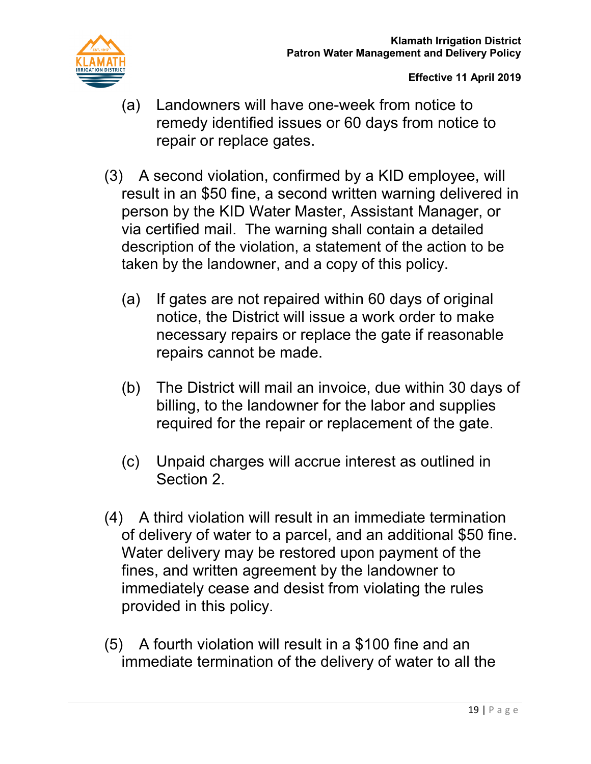

- (a) Landowners will have one-week from notice to remedy identified issues or 60 days from notice to repair or replace gates.
- (3) A second violation, confirmed by a KID employee, will result in an \$50 fine, a second written warning delivered in person by the KID Water Master, Assistant Manager, or via certified mail. The warning shall contain a detailed description of the violation, a statement of the action to be taken by the landowner, and a copy of this policy.
	- (a) If gates are not repaired within 60 days of original notice, the District will issue a work order to make necessary repairs or replace the gate if reasonable repairs cannot be made.
	- (b) The District will mail an invoice, due within 30 days of billing, to the landowner for the labor and supplies required for the repair or replacement of the gate.
	- (c) Unpaid charges will accrue interest as outlined in Section 2.
- (4) A third violation will result in an immediate termination of delivery of water to a parcel, and an additional \$50 fine. Water delivery may be restored upon payment of the fines, and written agreement by the landowner to immediately cease and desist from violating the rules provided in this policy.
- (5) A fourth violation will result in a \$100 fine and an immediate termination of the delivery of water to all the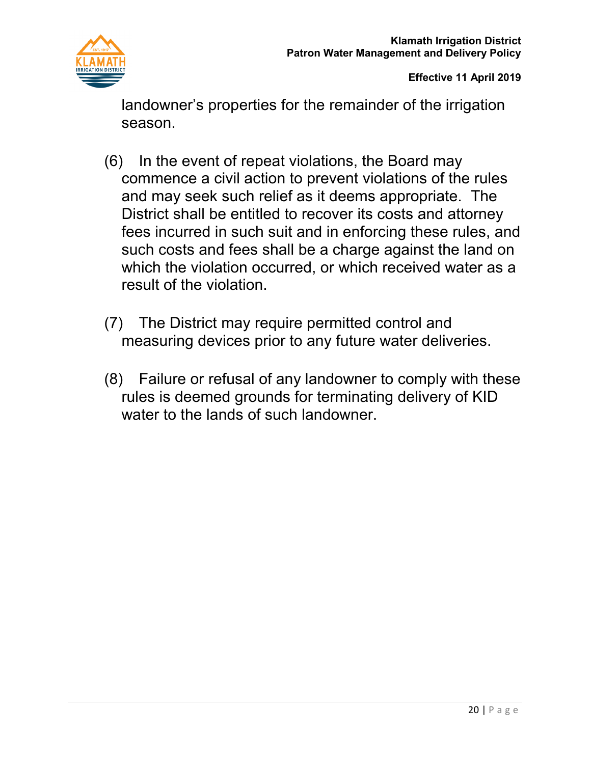

landowner's properties for the remainder of the irrigation season.

- (6) In the event of repeat violations, the Board may commence a civil action to prevent violations of the rules and may seek such relief as it deems appropriate. The District shall be entitled to recover its costs and attorney fees incurred in such suit and in enforcing these rules, and such costs and fees shall be a charge against the land on which the violation occurred, or which received water as a result of the violation.
- (7) The District may require permitted control and measuring devices prior to any future water deliveries.
- (8) Failure or refusal of any landowner to comply with these rules is deemed grounds for terminating delivery of KID water to the lands of such landowner.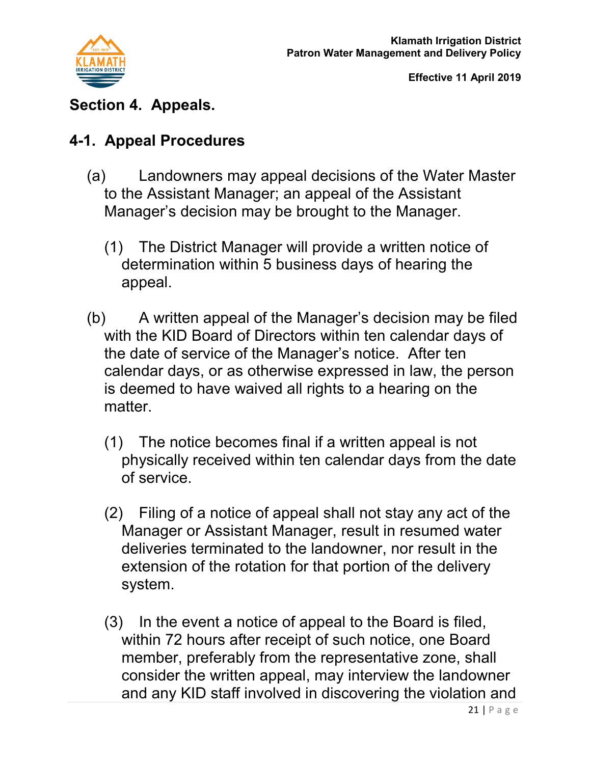

## **Section 4. Appeals.**

### **4-1. Appeal Procedures**

- (a) Landowners may appeal decisions of the Water Master to the Assistant Manager; an appeal of the Assistant Manager's decision may be brought to the Manager.
	- (1) The District Manager will provide a written notice of determination within 5 business days of hearing the appeal.
- (b) A written appeal of the Manager's decision may be filed with the KID Board of Directors within ten calendar days of the date of service of the Manager's notice. After ten calendar days, or as otherwise expressed in law, the person is deemed to have waived all rights to a hearing on the matter.
	- (1) The notice becomes final if a written appeal is not physically received within ten calendar days from the date of service.
	- (2) Filing of a notice of appeal shall not stay any act of the Manager or Assistant Manager, result in resumed water deliveries terminated to the landowner, nor result in the extension of the rotation for that portion of the delivery system.
	- (3) In the event a notice of appeal to the Board is filed, within 72 hours after receipt of such notice, one Board member, preferably from the representative zone, shall consider the written appeal, may interview the landowner and any KID staff involved in discovering the violation and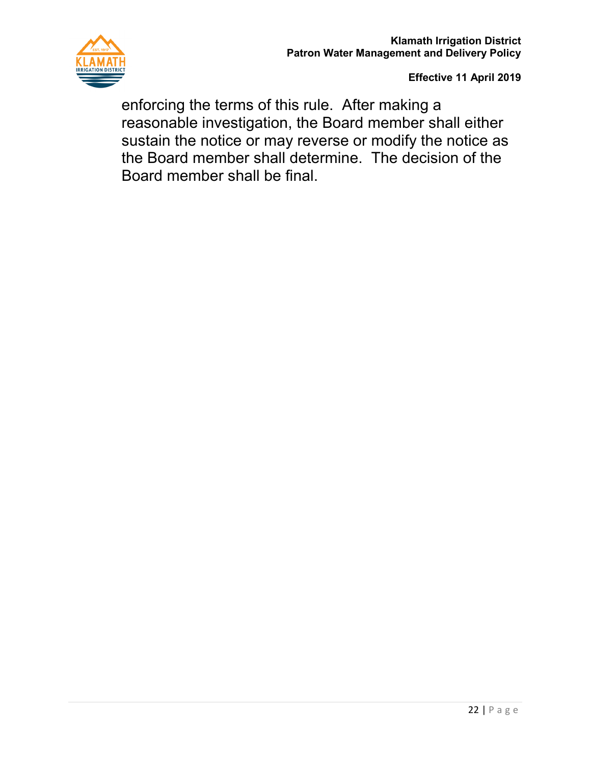

enforcing the terms of this rule. After making a reasonable investigation, the Board member shall either sustain the notice or may reverse or modify the notice as the Board member shall determine. The decision of the Board member shall be final.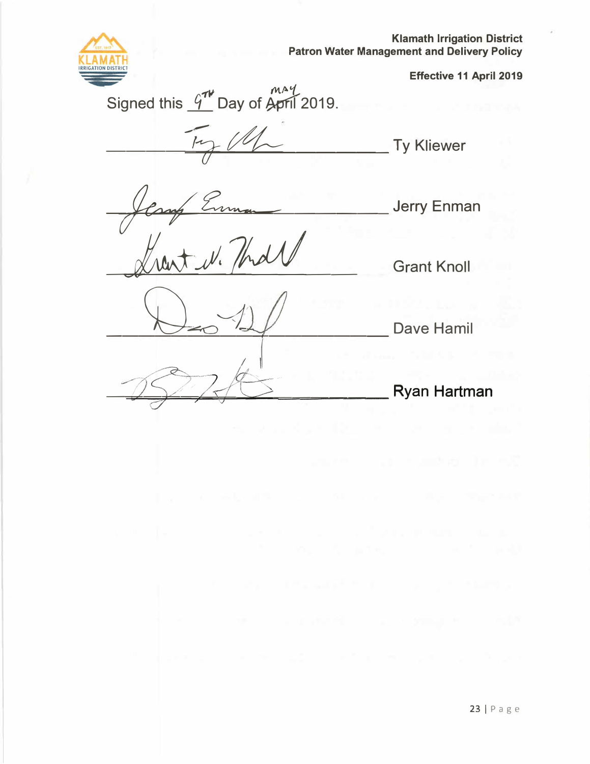#### **Klamath Irrigation District Patron Water Management and Delivery Policy**



*-rv ('(\, P. 'f*  Signed this  $\frac{q^{7}}{2}$  Day of April 2019.  $H_1 H_2$  /  $H_3$  Ty Kliewer Jerry Enman Jerry Enman *---.-, ........ \_Jiw\_---'---�-' \_,\_]\_W \_\_\_\_\_* Grant Knoll ---------------- *V-a '-1\_'* - Dave Ha mi I  $\begin{picture}(18,14) \put(0,0){\line(1,0){155}} \put(10,0){\line(1,0){155}} \put(10,0){\line(1,0){155}} \put(10,0){\line(1,0){155}} \put(10,0){\line(1,0){155}} \put(10,0){\line(1,0){155}} \put(10,0){\line(1,0){155}} \put(10,0){\line(1,0){155}} \put(10,0){\line(1,0){155}} \put(10,0){\line(1,0){155}} \put(10,0){\line(1,0){155}} \$